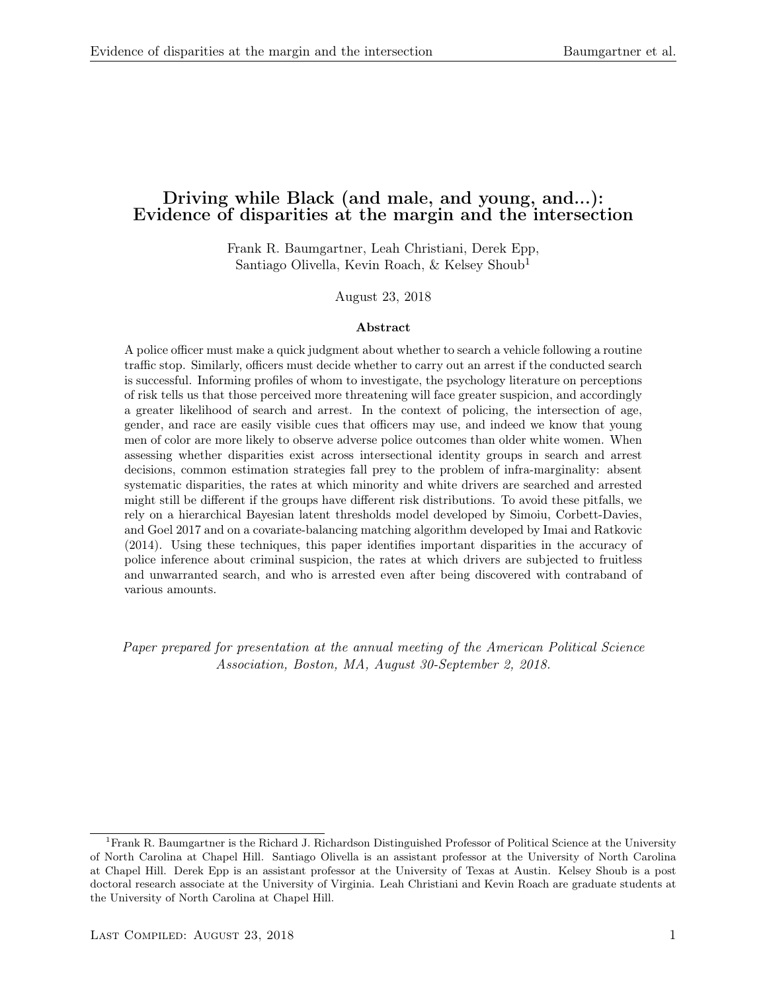## <span id="page-0-0"></span>Driving while Black (and male, and young, and...): Evidence of disparities at the margin and the intersection

Frank R. Baumgartner, Leah Christiani, Derek Epp, Santiago Olivella, Kevin Roach, & Kelsey Shoub<sup>1</sup>

August 23, 2018

#### Abstract

A police officer must make a quick judgment about whether to search a vehicle following a routine traffic stop. Similarly, officers must decide whether to carry out an arrest if the conducted search is successful. Informing profiles of whom to investigate, the psychology literature on perceptions of risk tells us that those perceived more threatening will face greater suspicion, and accordingly a greater likelihood of search and arrest. In the context of policing, the intersection of age, gender, and race are easily visible cues that officers may use, and indeed we know that young men of color are more likely to observe adverse police outcomes than older white women. When assessing whether disparities exist across intersectional identity groups in search and arrest decisions, common estimation strategies fall prey to the problem of infra-marginality: absent systematic disparities, the rates at which minority and white drivers are searched and arrested might still be different if the groups have different risk distributions. To avoid these pitfalls, we rely on a hierarchical Bayesian latent thresholds model developed by Simoiu, Corbett-Davies, and Goel [2017](#page-23-0) and on a covariate-balancing matching algorithm developed by [Imai and Ratkovic](#page-23-1) [\(2014\)](#page-23-1). Using these techniques, this paper identifies important disparities in the accuracy of police inference about criminal suspicion, the rates at which drivers are subjected to fruitless and unwarranted search, and who is arrested even after being discovered with contraband of various amounts.

Paper prepared for presentation at the annual meeting of the American Political Science Association, Boston, MA, August 30-September 2, 2018.

<sup>&</sup>lt;sup>1</sup>Frank R. Baumgartner is the Richard J. Richardson Distinguished Professor of Political Science at the University of North Carolina at Chapel Hill. Santiago Olivella is an assistant professor at the University of North Carolina at Chapel Hill. Derek Epp is an assistant professor at the University of Texas at Austin. Kelsey Shoub is a post doctoral research associate at the University of Virginia. Leah Christiani and Kevin Roach are graduate students at the University of North Carolina at Chapel Hill.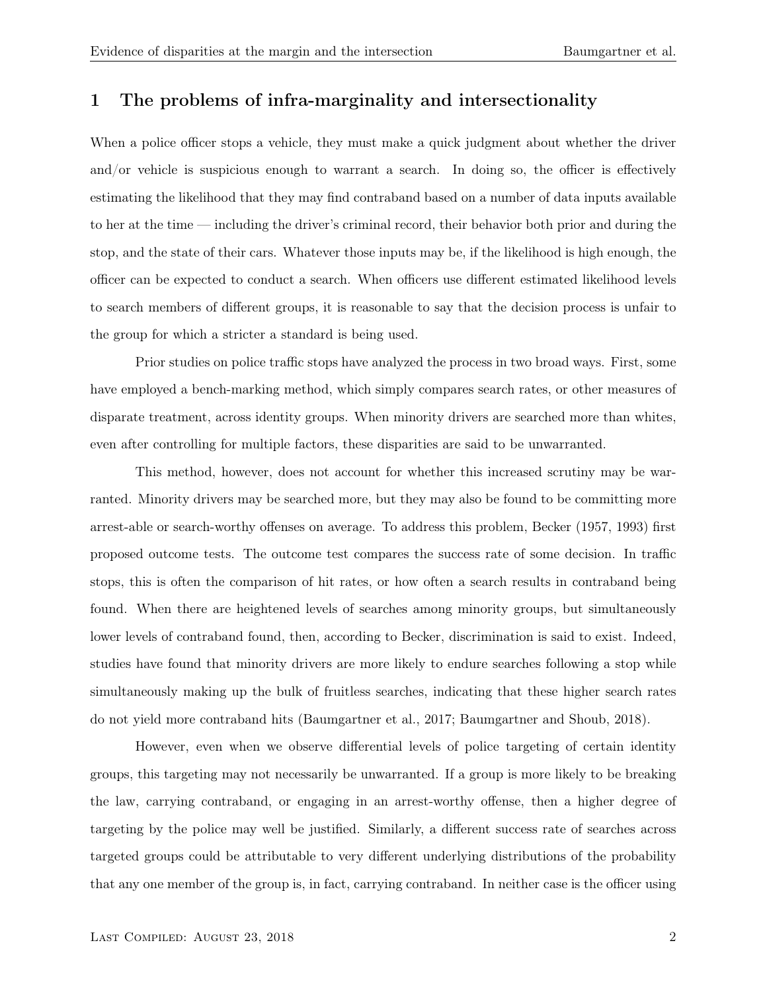# 1 The problems of infra-marginality and intersectionality

When a police officer stops a vehicle, they must make a quick judgment about whether the driver and/or vehicle is suspicious enough to warrant a search. In doing so, the officer is effectively estimating the likelihood that they may find contraband based on a number of data inputs available to her at the time — including the driver's criminal record, their behavior both prior and during the stop, and the state of their cars. Whatever those inputs may be, if the likelihood is high enough, the officer can be expected to conduct a search. When officers use different estimated likelihood levels to search members of different groups, it is reasonable to say that the decision process is unfair to the group for which a stricter a standard is being used.

Prior studies on police traffic stops have analyzed the process in two broad ways. First, some have employed a bench-marking method, which simply compares search rates, or other measures of disparate treatment, across identity groups. When minority drivers are searched more than whites, even after controlling for multiple factors, these disparities are said to be unwarranted.

This method, however, does not account for whether this increased scrutiny may be warranted. Minority drivers may be searched more, but they may also be found to be committing more arrest-able or search-worthy offenses on average. To address this problem, Becker (1957, 1993) first proposed outcome tests. The outcome test compares the success rate of some decision. In traffic stops, this is often the comparison of hit rates, or how often a search results in contraband being found. When there are heightened levels of searches among minority groups, but simultaneously lower levels of contraband found, then, according to Becker, discrimination is said to exist. Indeed, studies have found that minority drivers are more likely to endure searches following a stop while simultaneously making up the bulk of fruitless searches, indicating that these higher search rates do not yield more contraband hits [\(Baumgartner et al., 2017;](#page-23-2) [Baumgartner and Shoub, 2018\)](#page-23-3).

However, even when we observe differential levels of police targeting of certain identity groups, this targeting may not necessarily be unwarranted. If a group is more likely to be breaking the law, carrying contraband, or engaging in an arrest-worthy offense, then a higher degree of targeting by the police may well be justified. Similarly, a different success rate of searches across targeted groups could be attributable to very different underlying distributions of the probability that any one member of the group is, in fact, carrying contraband. In neither case is the officer using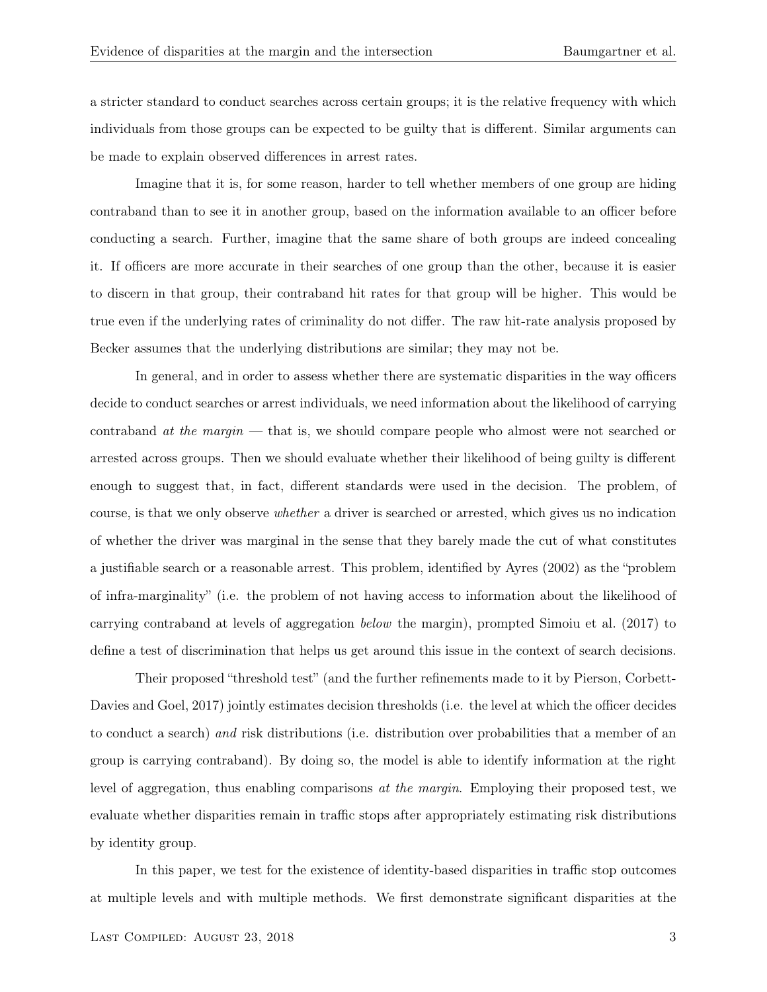a stricter standard to conduct searches across certain groups; it is the relative frequency with which individuals from those groups can be expected to be guilty that is different. Similar arguments can be made to explain observed differences in arrest rates.

Imagine that it is, for some reason, harder to tell whether members of one group are hiding contraband than to see it in another group, based on the information available to an officer before conducting a search. Further, imagine that the same share of both groups are indeed concealing it. If officers are more accurate in their searches of one group than the other, because it is easier to discern in that group, their contraband hit rates for that group will be higher. This would be true even if the underlying rates of criminality do not differ. The raw hit-rate analysis proposed by Becker assumes that the underlying distributions are similar; they may not be.

In general, and in order to assess whether there are systematic disparities in the way officers decide to conduct searches or arrest individuals, we need information about the likelihood of carrying contraband at the margin – that is, we should compare people who almost were not searched or arrested across groups. Then we should evaluate whether their likelihood of being guilty is different enough to suggest that, in fact, different standards were used in the decision. The problem, of course, is that we only observe whether a driver is searched or arrested, which gives us no indication of whether the driver was marginal in the sense that they barely made the cut of what constitutes a justifiable search or a reasonable arrest. This problem, identified by [Ayres](#page-23-4) [\(2002\)](#page-23-4) as the "problem of infra-marginality" (i.e. the problem of not having access to information about the likelihood of carrying contraband at levels of aggregation below the margin), prompted [Simoiu et al.](#page-23-0) [\(2017\)](#page-23-0) to define a test of discrimination that helps us get around this issue in the context of search decisions.

Their proposed "threshold test" (and the further refinements made to it by [Pierson, Corbett-](#page-23-5)[Davies and Goel, 2017\)](#page-23-5) jointly estimates decision thresholds (i.e. the level at which the officer decides to conduct a search) and risk distributions (i.e. distribution over probabilities that a member of an group is carrying contraband). By doing so, the model is able to identify information at the right level of aggregation, thus enabling comparisons at the margin. Employing their proposed test, we evaluate whether disparities remain in traffic stops after appropriately estimating risk distributions by identity group.

In this paper, we test for the existence of identity-based disparities in traffic stop outcomes at multiple levels and with multiple methods. We first demonstrate significant disparities at the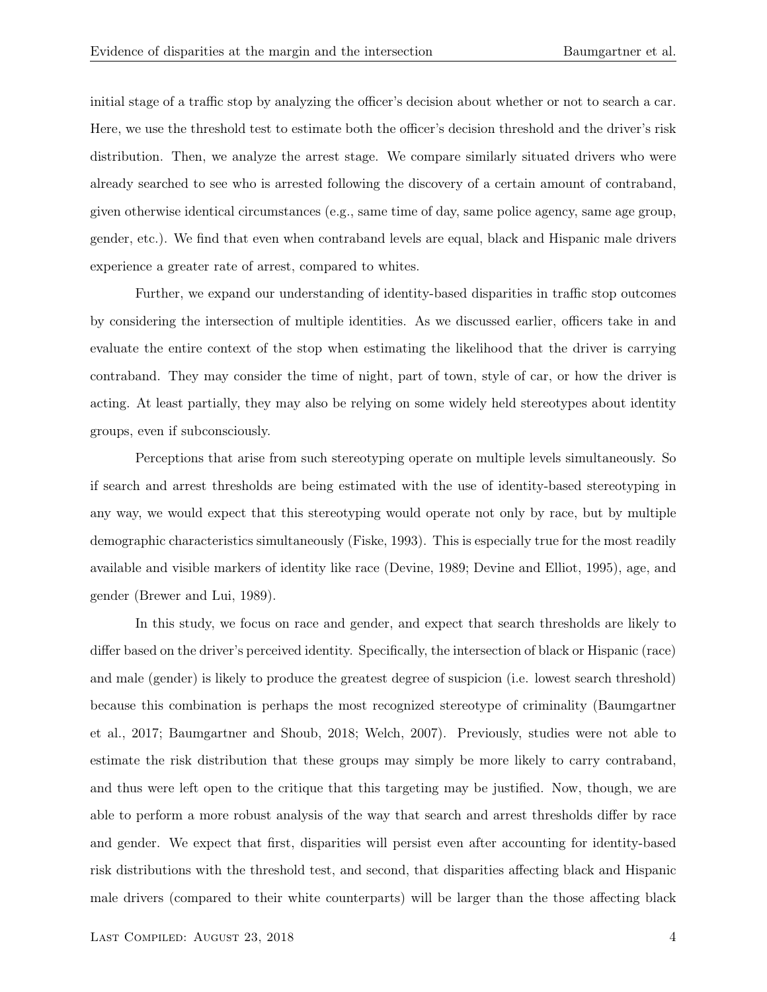initial stage of a traffic stop by analyzing the officer's decision about whether or not to search a car. Here, we use the threshold test to estimate both the officer's decision threshold and the driver's risk distribution. Then, we analyze the arrest stage. We compare similarly situated drivers who were already searched to see who is arrested following the discovery of a certain amount of contraband, given otherwise identical circumstances (e.g., same time of day, same police agency, same age group, gender, etc.). We find that even when contraband levels are equal, black and Hispanic male drivers experience a greater rate of arrest, compared to whites.

Further, we expand our understanding of identity-based disparities in traffic stop outcomes by considering the intersection of multiple identities. As we discussed earlier, officers take in and evaluate the entire context of the stop when estimating the likelihood that the driver is carrying contraband. They may consider the time of night, part of town, style of car, or how the driver is acting. At least partially, they may also be relying on some widely held stereotypes about identity groups, even if subconsciously.

Perceptions that arise from such stereotyping operate on multiple levels simultaneously. So if search and arrest thresholds are being estimated with the use of identity-based stereotyping in any way, we would expect that this stereotyping would operate not only by race, but by multiple demographic characteristics simultaneously [\(Fiske, 1993\)](#page-23-6). This is especially true for the most readily available and visible markers of identity like race [\(Devine, 1989;](#page-23-7) [Devine and Elliot, 1995\)](#page-23-8), age, and gender [\(Brewer and Lui, 1989\)](#page-23-9).

In this study, we focus on race and gender, and expect that search thresholds are likely to differ based on the driver's perceived identity. Specifically, the intersection of black or Hispanic (race) and male (gender) is likely to produce the greatest degree of suspicion (i.e. lowest search threshold) because this combination is perhaps the most recognized stereotype of criminality [\(Baumgartner](#page-23-2) [et al., 2017;](#page-23-2) [Baumgartner and Shoub, 2018;](#page-23-3) [Welch, 2007\)](#page-23-10). Previously, studies were not able to estimate the risk distribution that these groups may simply be more likely to carry contraband, and thus were left open to the critique that this targeting may be justified. Now, though, we are able to perform a more robust analysis of the way that search and arrest thresholds differ by race and gender. We expect that first, disparities will persist even after accounting for identity-based risk distributions with the threshold test, and second, that disparities affecting black and Hispanic male drivers (compared to their white counterparts) will be larger than the those affecting black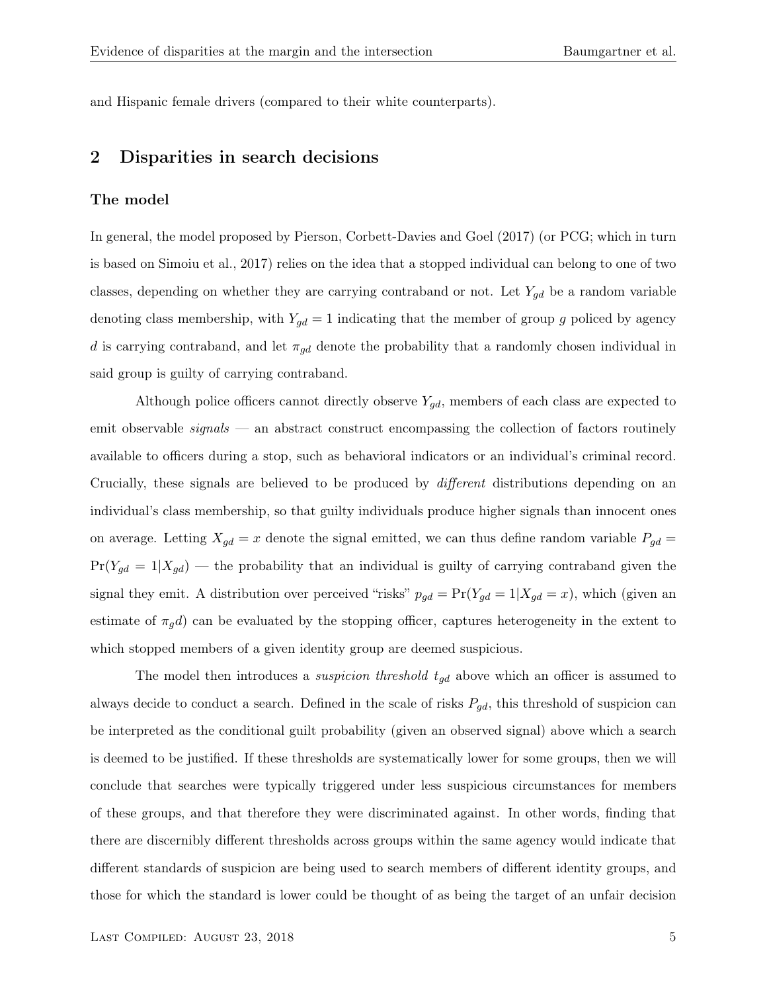and Hispanic female drivers (compared to their white counterparts).

## 2 Disparities in search decisions

#### The model

In general, the model proposed by [Pierson, Corbett-Davies and Goel](#page-23-5) [\(2017\)](#page-23-5) (or PCG; which in turn is based on [Simoiu et al., 2017\)](#page-23-0) relies on the idea that a stopped individual can belong to one of two classes, depending on whether they are carrying contraband or not. Let  $Y_{gd}$  be a random variable denoting class membership, with  $Y_{gd} = 1$  indicating that the member of group g policed by agency d is carrying contraband, and let  $\pi_{gd}$  denote the probability that a randomly chosen individual in said group is guilty of carrying contraband.

Although police officers cannot directly observe  $Y_{qd}$ , members of each class are expected to emit observable *signals* — an abstract construct encompassing the collection of factors routinely available to officers during a stop, such as behavioral indicators or an individual's criminal record. Crucially, these signals are believed to be produced by different distributions depending on an individual's class membership, so that guilty individuals produce higher signals than innocent ones on average. Letting  $X_{gd} = x$  denote the signal emitted, we can thus define random variable  $P_{gd} = x$  $Pr(Y_{gd} = 1 | X_{gd})$  — the probability that an individual is guilty of carrying contraband given the signal they emit. A distribution over perceived "risks"  $p_{gd} = Pr(Y_{gd} = 1 | X_{gd} = x)$ , which (given an estimate of  $\pi_q d$ ) can be evaluated by the stopping officer, captures heterogeneity in the extent to which stopped members of a given identity group are deemed suspicious.

The model then introduces a *suspicion threshold*  $t_{qd}$  above which an officer is assumed to always decide to conduct a search. Defined in the scale of risks  $P_{gd}$ , this threshold of suspicion can be interpreted as the conditional guilt probability (given an observed signal) above which a search is deemed to be justified. If these thresholds are systematically lower for some groups, then we will conclude that searches were typically triggered under less suspicious circumstances for members of these groups, and that therefore they were discriminated against. In other words, finding that there are discernibly different thresholds across groups within the same agency would indicate that different standards of suspicion are being used to search members of different identity groups, and those for which the standard is lower could be thought of as being the target of an unfair decision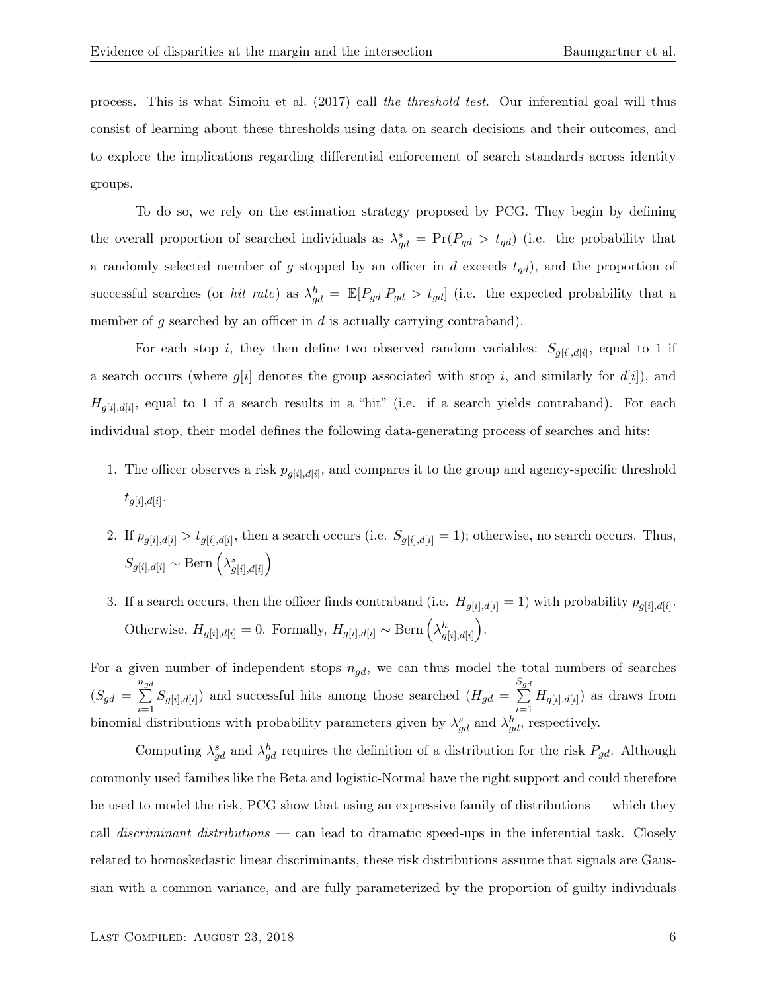process. This is what [Simoiu et al.](#page-23-0) [\(2017\)](#page-23-0) call the threshold test. Our inferential goal will thus consist of learning about these thresholds using data on search decisions and their outcomes, and to explore the implications regarding differential enforcement of search standards across identity groups.

To do so, we rely on the estimation strategy proposed by PCG. They begin by defining the overall proportion of searched individuals as  $\lambda_{gd}^s = \Pr(P_{gd} > t_{gd})$  (i.e. the probability that a randomly selected member of g stopped by an officer in d exceeds  $t_{gd}$ , and the proportion of successful searches (or *hit rate*) as  $\lambda_{gd}^h = \mathbb{E}[P_{gd}|P_{gd} > t_{gd}]$  (i.e. the expected probability that a member of  $g$  searched by an officer in  $d$  is actually carrying contraband).

For each stop i, they then define two observed random variables:  $S_{g[i],d[i]}$ , equal to 1 if a search occurs (where  $g[i]$  denotes the group associated with stop i, and similarly for  $d[i]$ ), and  $H_{g[i],d[i]}$ , equal to 1 if a search results in a "hit" (i.e. if a search yields contraband). For each individual stop, their model defines the following data-generating process of searches and hits:

- 1. The officer observes a risk  $p_{g[i],d[i]}$ , and compares it to the group and agency-specific threshold  $t_{g[i],d[i]}.$
- 2. If  $p_{g[i],d[i]} > t_{g[i],d[i]}$ , then a search occurs (i.e.  $S_{g[i],d[i]} = 1$ ); otherwise, no search occurs. Thus,  $S_{g[i],d[i]} \sim \text{Bern}\left(\lambda^s_{g[i],d[i]}\right)$
- 3. If a search occurs, then the officer finds contraband (i.e.  $H_{g[i],d[i]} = 1$ ) with probability  $p_{g[i],d[i]}$ . Otherwise,  $H_{g[i],d[i]} = 0$ . Formally,  $H_{g[i],d[i]} \sim \text{Bern} \left( \lambda_{g[i],d[i]}^{h} \right)$ .

For a given number of independent stops  $n_{gd}$ , we can thus model the total numbers of searches  $(S_{gd} =$ n $\sum^{n_{gd}}$  $\sum_{i=1} S_{g[i],d[i]}$ ) and successful hits among those searched  $(H_{gd} =$ S  $\sum_{j=1}^{S-1}$  $\sum_{i=1} H_{g[i],d[i]}$  as draws from binomial distributions with probability parameters given by  $\lambda_{gd}^s$  and  $\lambda_{gd}^h$ , respectively.

Computing  $\lambda_{gd}^s$  and  $\lambda_{gd}^h$  requires the definition of a distribution for the risk  $P_{gd}$ . Although commonly used families like the Beta and logistic-Normal have the right support and could therefore be used to model the risk, PCG show that using an expressive family of distributions — which they call *discriminant distributions* — can lead to dramatic speed-ups in the inferential task. Closely related to homoskedastic linear discriminants, these risk distributions assume that signals are Gaussian with a common variance, and are fully parameterized by the proportion of guilty individuals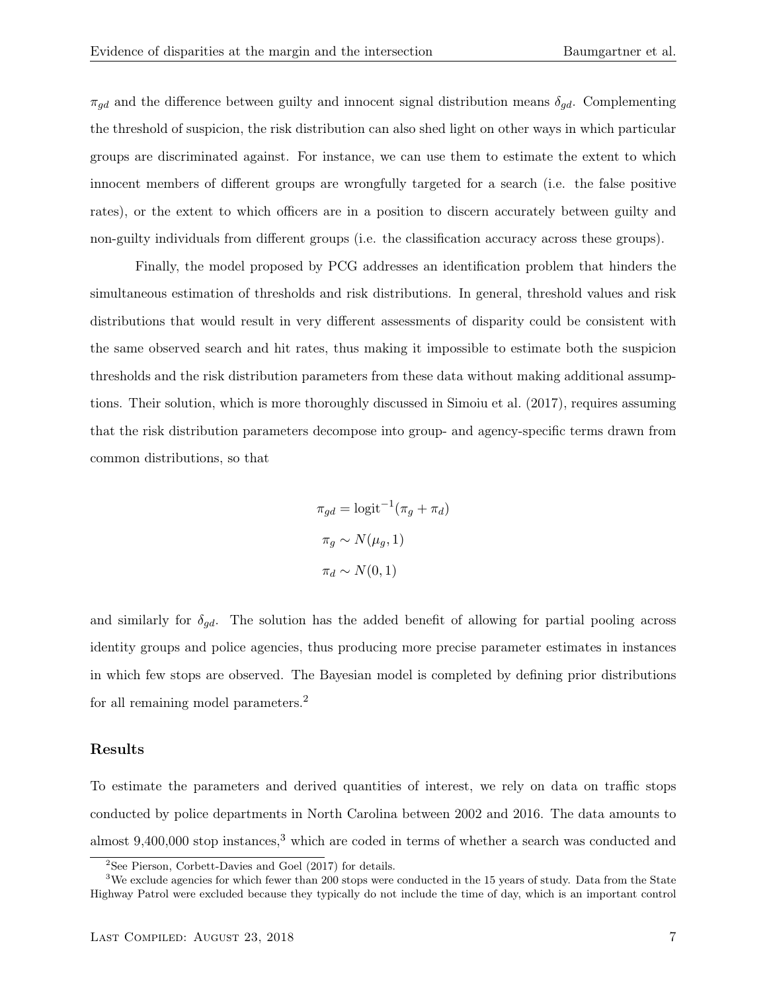$\pi_{gd}$  and the difference between guilty and innocent signal distribution means  $\delta_{gd}$ . Complementing the threshold of suspicion, the risk distribution can also shed light on other ways in which particular groups are discriminated against. For instance, we can use them to estimate the extent to which innocent members of different groups are wrongfully targeted for a search (i.e. the false positive rates), or the extent to which officers are in a position to discern accurately between guilty and non-guilty individuals from different groups (i.e. the classification accuracy across these groups).

Finally, the model proposed by PCG addresses an identification problem that hinders the simultaneous estimation of thresholds and risk distributions. In general, threshold values and risk distributions that would result in very different assessments of disparity could be consistent with the same observed search and hit rates, thus making it impossible to estimate both the suspicion thresholds and the risk distribution parameters from these data without making additional assumptions. Their solution, which is more thoroughly discussed in [Simoiu et al.](#page-23-0) [\(2017\)](#page-23-0), requires assuming that the risk distribution parameters decompose into group- and agency-specific terms drawn from common distributions, so that

> $\pi_{gd} = \text{logit}^{-1}(\pi_g + \pi_d)$  $\pi_a \sim N(\mu_a, 1)$  $\pi_d \sim N(0, 1)$

and similarly for  $\delta_{ad}$ . The solution has the added benefit of allowing for partial pooling across identity groups and police agencies, thus producing more precise parameter estimates in instances in which few stops are observed. The Bayesian model is completed by defining prior distributions for all remaining model parameters.[2](#page-0-0)

#### Results

To estimate the parameters and derived quantities of interest, we rely on data on traffic stops conducted by police departments in North Carolina between 2002 and 2016. The data amounts to almost 9,400,000 stop instances,<sup>[3](#page-0-0)</sup> which are coded in terms of whether a search was conducted and

<sup>&</sup>lt;sup>2</sup>See [Pierson, Corbett-Davies and Goel](#page-23-5) [\(2017\)](#page-23-5) for details.

 $3$ We exclude agencies for which fewer than 200 stops were conducted in the 15 years of study. Data from the State Highway Patrol were excluded because they typically do not include the time of day, which is an important control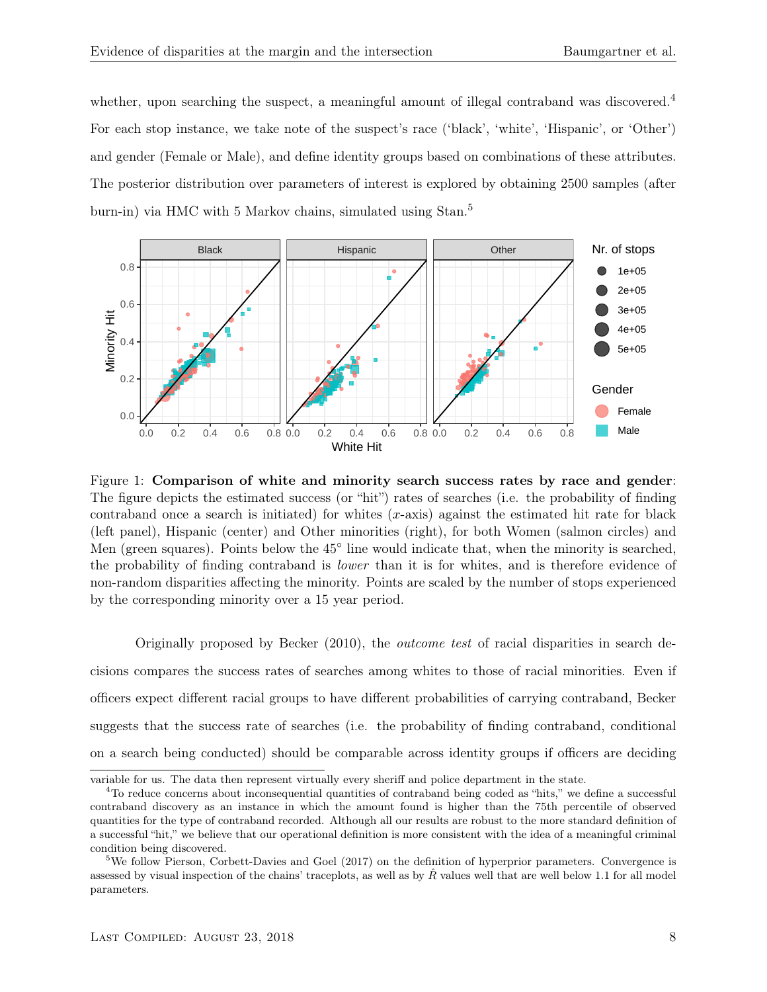whether, upon searching the suspect, a meaningful amount of illegal contraband was discovered.<sup>[4](#page-0-0)</sup> For each stop instance, we take note of the suspect's race ('black', 'white', 'Hispanic', or 'Other') and gender (Female or Male), and define identity groups based on combinations of these attributes. The posterior distribution over parameters of interest is explored by obtaining 2500 samples (after burn-in) via HMC with 5 Markov chains, simulated using Stan.[5](#page-0-0)

<span id="page-7-0"></span>

Figure 1: Comparison of white and minority search success rates by race and gender: The figure depicts the estimated success (or "hit") rates of searches (i.e. the probability of finding contraband once a search is initiated) for whites  $(x\text{-axis})$  against the estimated hit rate for black (left panel), Hispanic (center) and Other minorities (right), for both Women (salmon circles) and Men (green squares). Points below the 45° line would indicate that, when the minority is searched, the probability of finding contraband is lower than it is for whites, and is therefore evidence of non-random disparities affecting the minority. Points are scaled by the number of stops experienced by the corresponding minority over a 15 year period.

Originally proposed by [Becker](#page-23-11) [\(2010\)](#page-23-11), the outcome test of racial disparities in search decisions compares the success rates of searches among whites to those of racial minorities. Even if officers expect different racial groups to have different probabilities of carrying contraband, Becker suggests that the success rate of searches (i.e. the probability of finding contraband, conditional on a search being conducted) should be comparable across identity groups if officers are deciding

variable for us. The data then represent virtually every sheriff and police department in the state.

<sup>4</sup>To reduce concerns about inconsequential quantities of contraband being coded as "hits," we define a successful contraband discovery as an instance in which the amount found is higher than the 75th percentile of observed quantities for the type of contraband recorded. Although all our results are robust to the more standard definition of a successful "hit," we believe that our operational definition is more consistent with the idea of a meaningful criminal condition being discovered.

<sup>&</sup>lt;sup>5</sup>We follow [Pierson, Corbett-Davies and Goel](#page-23-5) [\(2017\)](#page-23-5) on the definition of hyperprior parameters. Convergence is assessed by visual inspection of the chains' traceplots, as well as by  $\hat{R}$  values well that are well below 1.1 for all model parameters.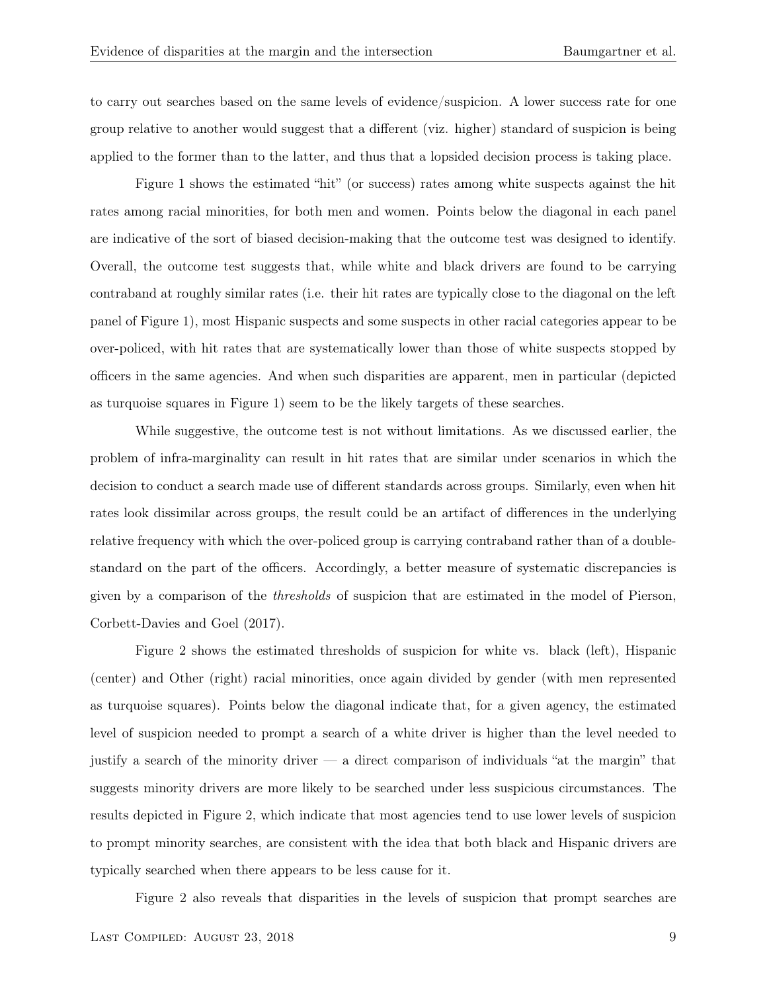to carry out searches based on the same levels of evidence/suspicion. A lower success rate for one group relative to another would suggest that a different (viz. higher) standard of suspicion is being applied to the former than to the latter, and thus that a lopsided decision process is taking place.

Figure [1](#page-7-0) shows the estimated "hit" (or success) rates among white suspects against the hit rates among racial minorities, for both men and women. Points below the diagonal in each panel are indicative of the sort of biased decision-making that the outcome test was designed to identify. Overall, the outcome test suggests that, while white and black drivers are found to be carrying contraband at roughly similar rates (i.e. their hit rates are typically close to the diagonal on the left panel of Figure [1\)](#page-7-0), most Hispanic suspects and some suspects in other racial categories appear to be over-policed, with hit rates that are systematically lower than those of white suspects stopped by officers in the same agencies. And when such disparities are apparent, men in particular (depicted as turquoise squares in Figure [1\)](#page-7-0) seem to be the likely targets of these searches.

While suggestive, the outcome test is not without limitations. As we discussed earlier, the problem of infra-marginality can result in hit rates that are similar under scenarios in which the decision to conduct a search made use of different standards across groups. Similarly, even when hit rates look dissimilar across groups, the result could be an artifact of differences in the underlying relative frequency with which the over-policed group is carrying contraband rather than of a doublestandard on the part of the officers. Accordingly, a better measure of systematic discrepancies is given by a comparison of the thresholds of suspicion that are estimated in the model of [Pierson,](#page-23-5) [Corbett-Davies and Goel](#page-23-5) [\(2017\)](#page-23-5).

Figure [2](#page-9-0) shows the estimated thresholds of suspicion for white vs. black (left), Hispanic (center) and Other (right) racial minorities, once again divided by gender (with men represented as turquoise squares). Points below the diagonal indicate that, for a given agency, the estimated level of suspicion needed to prompt a search of a white driver is higher than the level needed to justify a search of the minority driver — a direct comparison of individuals "at the margin" that suggests minority drivers are more likely to be searched under less suspicious circumstances. The results depicted in Figure [2,](#page-9-0) which indicate that most agencies tend to use lower levels of suspicion to prompt minority searches, are consistent with the idea that both black and Hispanic drivers are typically searched when there appears to be less cause for it.

Figure [2](#page-9-0) also reveals that disparities in the levels of suspicion that prompt searches are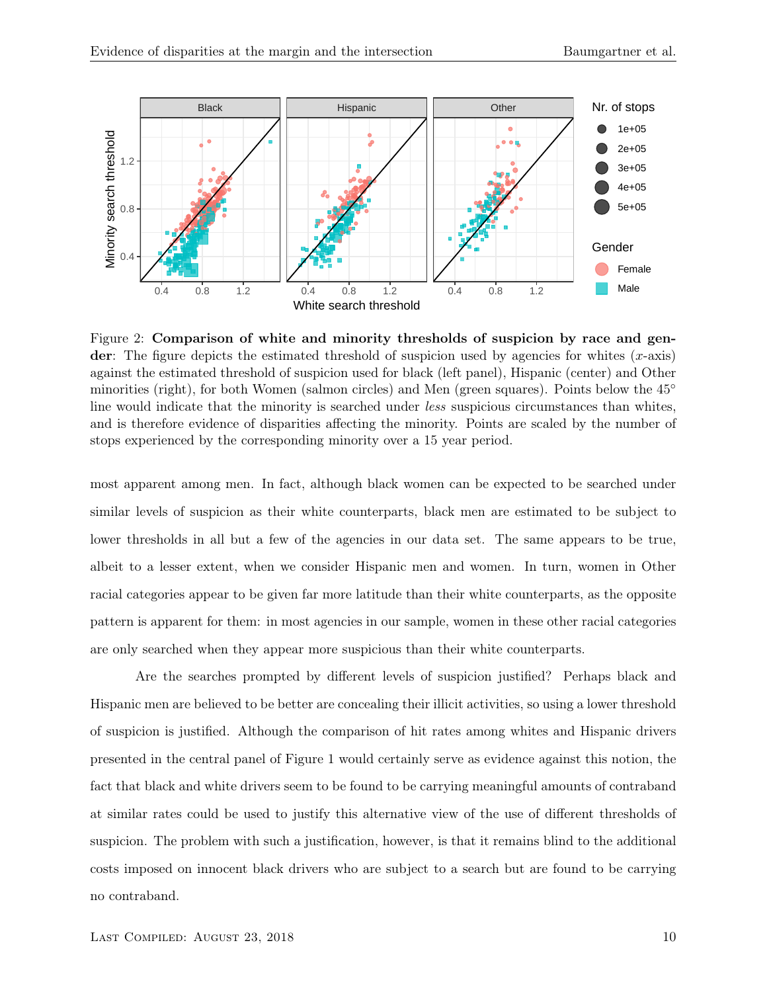<span id="page-9-0"></span>

Figure 2: Comparison of white and minority thresholds of suspicion by race and gender: The figure depicts the estimated threshold of suspicion used by agencies for whites  $(x\text{-axis})$ against the estimated threshold of suspicion used for black (left panel), Hispanic (center) and Other minorities (right), for both Women (salmon circles) and Men (green squares). Points below the 45◦ line would indicate that the minority is searched under less suspicious circumstances than whites, and is therefore evidence of disparities affecting the minority. Points are scaled by the number of stops experienced by the corresponding minority over a 15 year period.

most apparent among men. In fact, although black women can be expected to be searched under similar levels of suspicion as their white counterparts, black men are estimated to be subject to lower thresholds in all but a few of the agencies in our data set. The same appears to be true, albeit to a lesser extent, when we consider Hispanic men and women. In turn, women in Other racial categories appear to be given far more latitude than their white counterparts, as the opposite pattern is apparent for them: in most agencies in our sample, women in these other racial categories are only searched when they appear more suspicious than their white counterparts.

Are the searches prompted by different levels of suspicion justified? Perhaps black and Hispanic men are believed to be better are concealing their illicit activities, so using a lower threshold of suspicion is justified. Although the comparison of hit rates among whites and Hispanic drivers presented in the central panel of Figure [1](#page-7-0) would certainly serve as evidence against this notion, the fact that black and white drivers seem to be found to be carrying meaningful amounts of contraband at similar rates could be used to justify this alternative view of the use of different thresholds of suspicion. The problem with such a justification, however, is that it remains blind to the additional costs imposed on innocent black drivers who are subject to a search but are found to be carrying no contraband.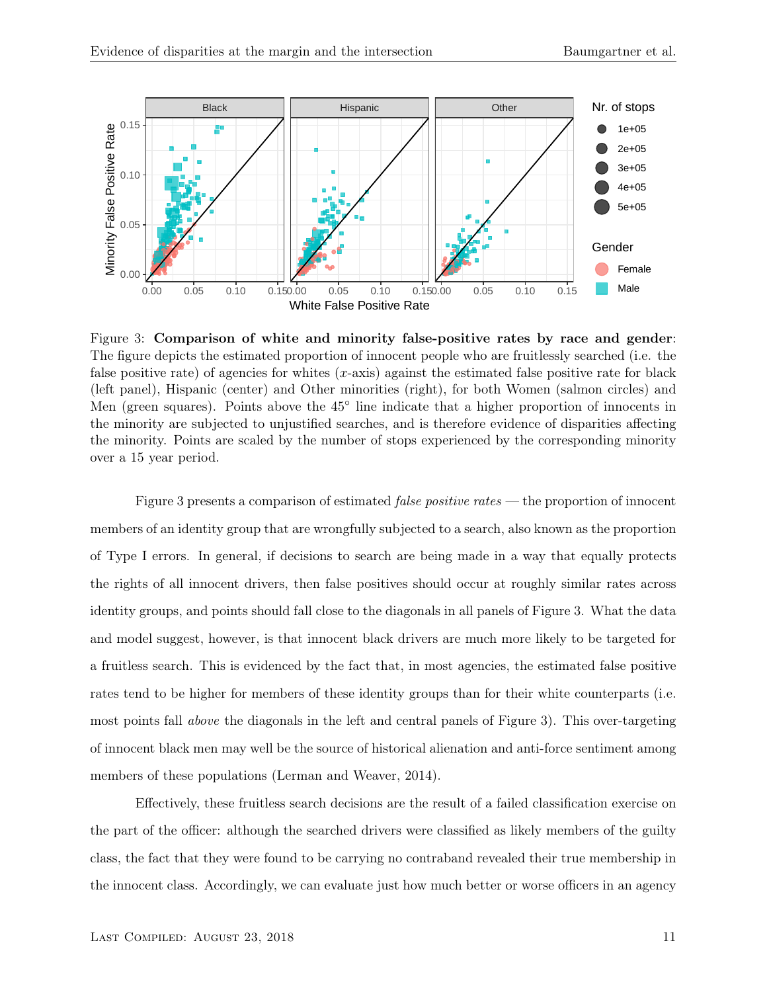<span id="page-10-0"></span>

Figure 3: Comparison of white and minority false-positive rates by race and gender: The figure depicts the estimated proportion of innocent people who are fruitlessly searched (i.e. the false positive rate) of agencies for whites  $(x\text{-axis})$  against the estimated false positive rate for black (left panel), Hispanic (center) and Other minorities (right), for both Women (salmon circles) and Men (green squares). Points above the 45<sup>°</sup> line indicate that a higher proportion of innocents in the minority are subjected to unjustified searches, and is therefore evidence of disparities affecting the minority. Points are scaled by the number of stops experienced by the corresponding minority over a 15 year period.

Figure [3](#page-10-0) presents a comparison of estimated *false positive rates* — the proportion of innocent members of an identity group that are wrongfully subjected to a search, also known as the proportion of Type I errors. In general, if decisions to search are being made in a way that equally protects the rights of all innocent drivers, then false positives should occur at roughly similar rates across identity groups, and points should fall close to the diagonals in all panels of Figure [3.](#page-10-0) What the data and model suggest, however, is that innocent black drivers are much more likely to be targeted for a fruitless search. This is evidenced by the fact that, in most agencies, the estimated false positive rates tend to be higher for members of these identity groups than for their white counterparts (i.e. most points fall above the diagonals in the left and central panels of Figure [3\)](#page-10-0). This over-targeting of innocent black men may well be the source of historical alienation and anti-force sentiment among members of these populations [\(Lerman and Weaver, 2014\)](#page-23-12).

Effectively, these fruitless search decisions are the result of a failed classification exercise on the part of the officer: although the searched drivers were classified as likely members of the guilty class, the fact that they were found to be carrying no contraband revealed their true membership in the innocent class. Accordingly, we can evaluate just how much better or worse officers in an agency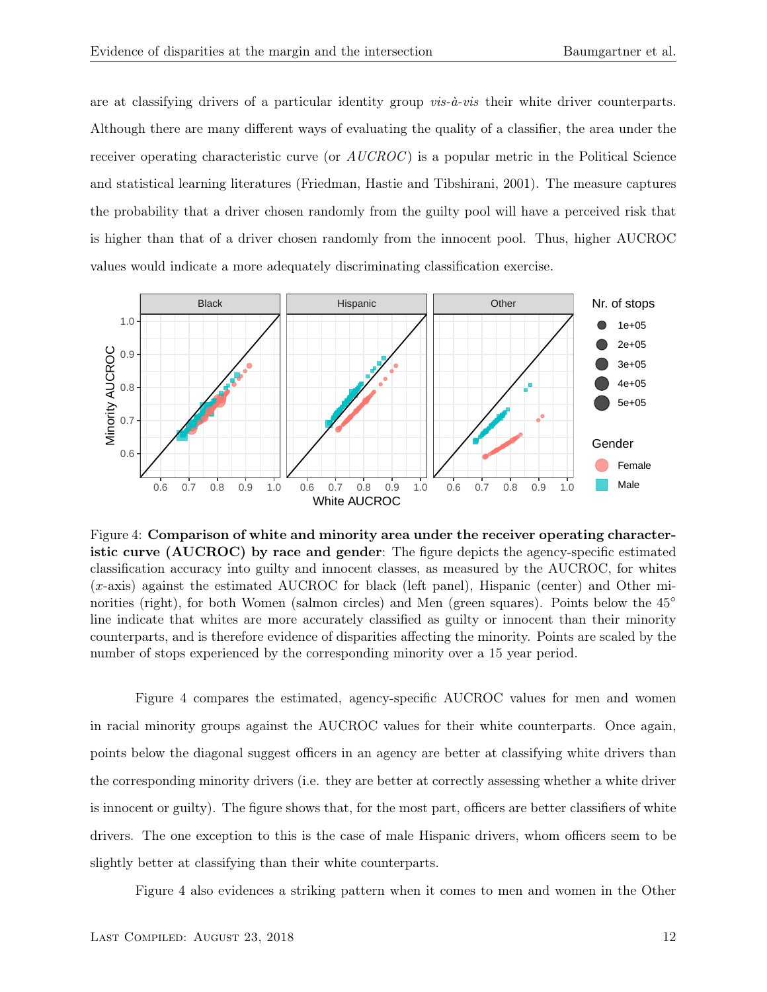are at classifying drivers of a particular identity group *vis-à-vis* their white driver counterparts. Although there are many different ways of evaluating the quality of a classifier, the area under the receiver operating characteristic curve (or  $AUCROC$ ) is a popular metric in the Political Science and statistical learning literatures [\(Friedman, Hastie and Tibshirani, 2001\)](#page-23-13). The measure captures the probability that a driver chosen randomly from the guilty pool will have a perceived risk that is higher than that of a driver chosen randomly from the innocent pool. Thus, higher AUCROC values would indicate a more adequately discriminating classification exercise.

<span id="page-11-0"></span>

Figure 4: Comparison of white and minority area under the receiver operating characteristic curve (AUCROC) by race and gender: The figure depicts the agency-specific estimated classification accuracy into guilty and innocent classes, as measured by the AUCROC, for whites (x-axis) against the estimated AUCROC for black (left panel), Hispanic (center) and Other minorities (right), for both Women (salmon circles) and Men (green squares). Points below the 45° line indicate that whites are more accurately classified as guilty or innocent than their minority counterparts, and is therefore evidence of disparities affecting the minority. Points are scaled by the number of stops experienced by the corresponding minority over a 15 year period.

Figure [4](#page-11-0) compares the estimated, agency-specific AUCROC values for men and women in racial minority groups against the AUCROC values for their white counterparts. Once again, points below the diagonal suggest officers in an agency are better at classifying white drivers than the corresponding minority drivers (i.e. they are better at correctly assessing whether a white driver is innocent or guilty). The figure shows that, for the most part, officers are better classifiers of white drivers. The one exception to this is the case of male Hispanic drivers, whom officers seem to be slightly better at classifying than their white counterparts.

Figure [4](#page-11-0) also evidences a striking pattern when it comes to men and women in the Other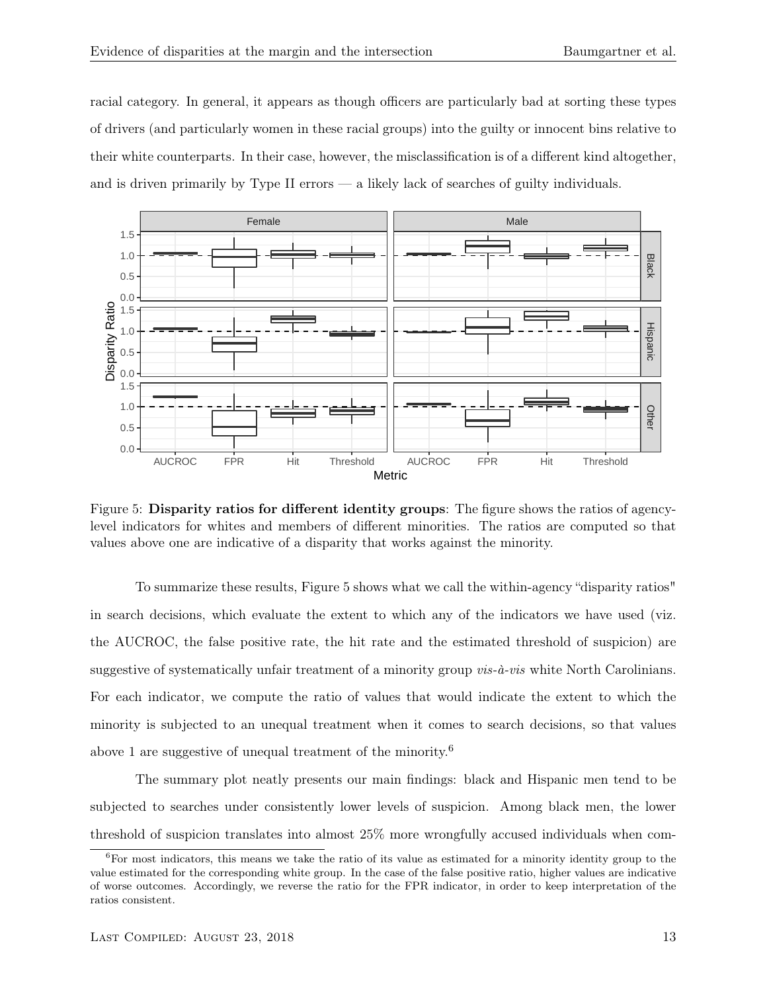racial category. In general, it appears as though officers are particularly bad at sorting these types of drivers (and particularly women in these racial groups) into the guilty or innocent bins relative to their white counterparts. In their case, however, the misclassification is of a different kind altogether, and is driven primarily by Type II errors  $-$  a likely lack of searches of guilty individuals.

<span id="page-12-0"></span>

Figure 5: Disparity ratios for different identity groups: The figure shows the ratios of agencylevel indicators for whites and members of different minorities. The ratios are computed so that values above one are indicative of a disparity that works against the minority.

To summarize these results, Figure [5](#page-12-0) shows what we call the within-agency "disparity ratios" in search decisions, which evaluate the extent to which any of the indicators we have used (viz. the AUCROC, the false positive rate, the hit rate and the estimated threshold of suspicion) are suggestive of systematically unfair treatment of a minority group  $vis-\lambda - vis$  white North Carolinians. For each indicator, we compute the ratio of values that would indicate the extent to which the minority is subjected to an unequal treatment when it comes to search decisions, so that values above 1 are suggestive of unequal treatment of the minority.[6](#page-0-0)

The summary plot neatly presents our main findings: black and Hispanic men tend to be subjected to searches under consistently lower levels of suspicion. Among black men, the lower threshold of suspicion translates into almost 25% more wrongfully accused individuals when com-

 ${}^{6}$  For most indicators, this means we take the ratio of its value as estimated for a minority identity group to the value estimated for the corresponding white group. In the case of the false positive ratio, higher values are indicative of worse outcomes. Accordingly, we reverse the ratio for the FPR indicator, in order to keep interpretation of the ratios consistent.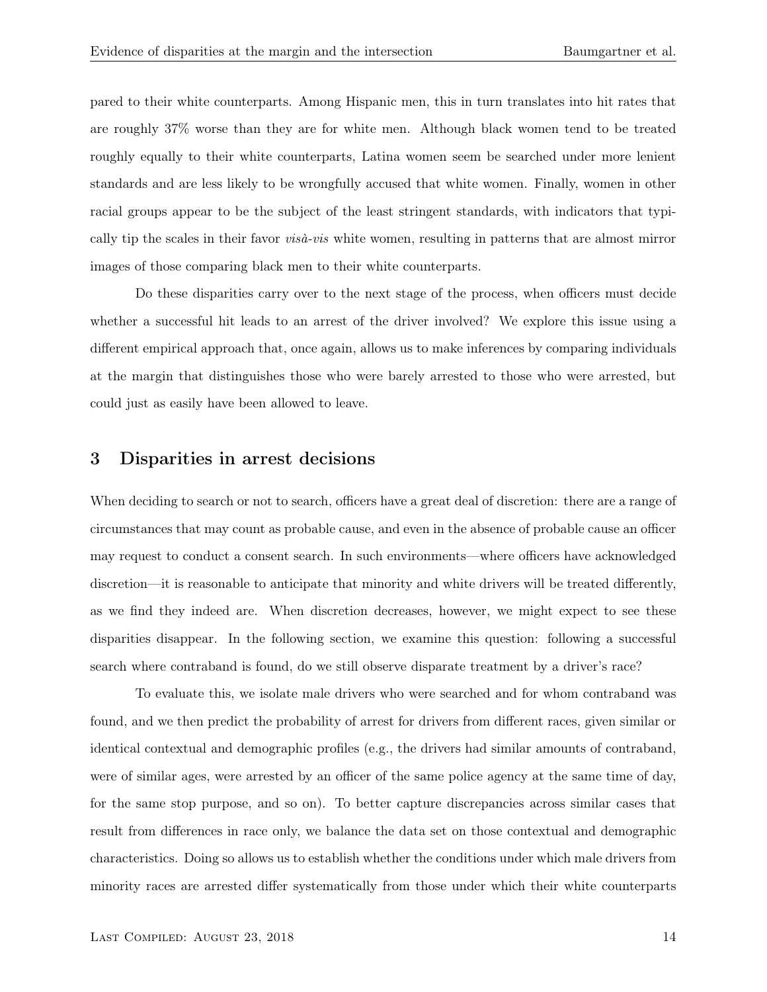pared to their white counterparts. Among Hispanic men, this in turn translates into hit rates that are roughly 37% worse than they are for white men. Although black women tend to be treated roughly equally to their white counterparts, Latina women seem be searched under more lenient standards and are less likely to be wrongfully accused that white women. Finally, women in other racial groups appear to be the subject of the least stringent standards, with indicators that typically tip the scales in their favor visà-vis white women, resulting in patterns that are almost mirror images of those comparing black men to their white counterparts.

Do these disparities carry over to the next stage of the process, when officers must decide whether a successful hit leads to an arrest of the driver involved? We explore this issue using a different empirical approach that, once again, allows us to make inferences by comparing individuals at the margin that distinguishes those who were barely arrested to those who were arrested, but could just as easily have been allowed to leave.

### 3 Disparities in arrest decisions

When deciding to search or not to search, officers have a great deal of discretion: there are a range of circumstances that may count as probable cause, and even in the absence of probable cause an officer may request to conduct a consent search. In such environments—where officers have acknowledged discretion—it is reasonable to anticipate that minority and white drivers will be treated differently, as we find they indeed are. When discretion decreases, however, we might expect to see these disparities disappear. In the following section, we examine this question: following a successful search where contraband is found, do we still observe disparate treatment by a driver's race?

To evaluate this, we isolate male drivers who were searched and for whom contraband was found, and we then predict the probability of arrest for drivers from different races, given similar or identical contextual and demographic profiles (e.g., the drivers had similar amounts of contraband, were of similar ages, were arrested by an officer of the same police agency at the same time of day, for the same stop purpose, and so on). To better capture discrepancies across similar cases that result from differences in race only, we balance the data set on those contextual and demographic characteristics. Doing so allows us to establish whether the conditions under which male drivers from minority races are arrested differ systematically from those under which their white counterparts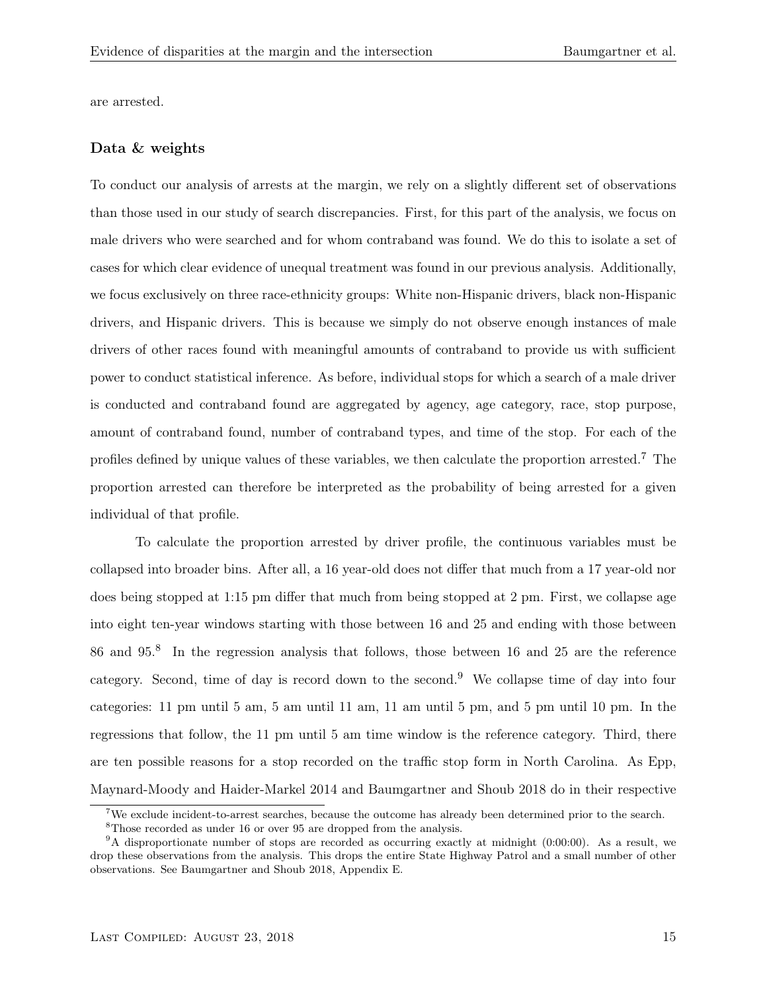are arrested.

#### Data & weights

To conduct our analysis of arrests at the margin, we rely on a slightly different set of observations than those used in our study of search discrepancies. First, for this part of the analysis, we focus on male drivers who were searched and for whom contraband was found. We do this to isolate a set of cases for which clear evidence of unequal treatment was found in our previous analysis. Additionally, we focus exclusively on three race-ethnicity groups: White non-Hispanic drivers, black non-Hispanic drivers, and Hispanic drivers. This is because we simply do not observe enough instances of male drivers of other races found with meaningful amounts of contraband to provide us with sufficient power to conduct statistical inference. As before, individual stops for which a search of a male driver is conducted and contraband found are aggregated by agency, age category, race, stop purpose, amount of contraband found, number of contraband types, and time of the stop. For each of the profiles defined by unique values of these variables, we then calculate the proportion arrested.[7](#page-0-0) The proportion arrested can therefore be interpreted as the probability of being arrested for a given individual of that profile.

To calculate the proportion arrested by driver profile, the continuous variables must be collapsed into broader bins. After all, a 16 year-old does not differ that much from a 17 year-old nor does being stopped at 1:15 pm differ that much from being stopped at 2 pm. First, we collapse age into eight ten-year windows starting with those between 16 and 25 and ending with those between [8](#page-0-0)6 and 95.<sup>8</sup> In the regression analysis that follows, those between 16 and 25 are the reference category. Second, time of day is record down to the second.[9](#page-0-0) We collapse time of day into four categories: 11 pm until 5 am, 5 am until 11 am, 11 am until 5 pm, and 5 pm until 10 pm. In the regressions that follow, the 11 pm until 5 am time window is the reference category. Third, there are ten possible reasons for a stop recorded on the traffic stop form in North Carolina. As [Epp,](#page-23-14) [Maynard-Moody and Haider-Markel 2014](#page-23-14) and [Baumgartner and Shoub 2018](#page-23-3) do in their respective

<sup>&</sup>lt;sup>7</sup>We exclude incident-to-arrest searches, because the outcome has already been determined prior to the search.

<sup>8</sup>Those recorded as under 16 or over 95 are dropped from the analysis.

<sup>&</sup>lt;sup>9</sup>A disproportionate number of stops are recorded as occurring exactly at midnight (0:00:00). As a result, we drop these observations from the analysis. This drops the entire State Highway Patrol and a small number of other observations. See [Baumgartner and Shoub 2018,](#page-23-3) Appendix E.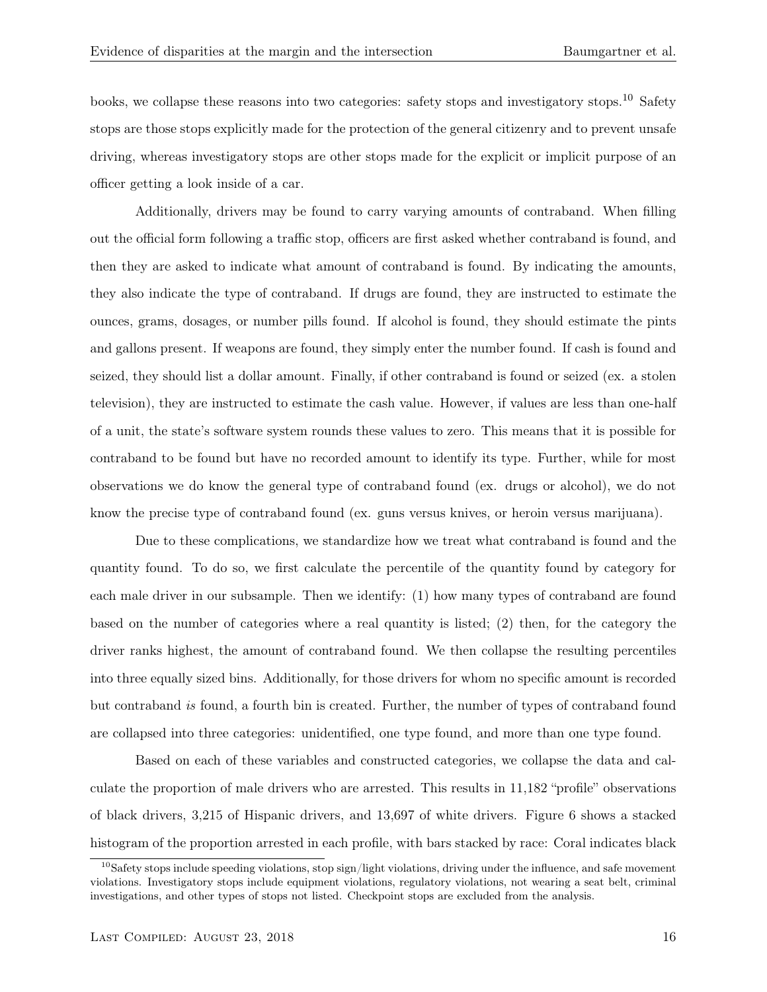books, we collapse these reasons into two categories: safety stops and investigatory stops.[10](#page-0-0) Safety stops are those stops explicitly made for the protection of the general citizenry and to prevent unsafe driving, whereas investigatory stops are other stops made for the explicit or implicit purpose of an officer getting a look inside of a car.

Additionally, drivers may be found to carry varying amounts of contraband. When filling out the official form following a traffic stop, officers are first asked whether contraband is found, and then they are asked to indicate what amount of contraband is found. By indicating the amounts, they also indicate the type of contraband. If drugs are found, they are instructed to estimate the ounces, grams, dosages, or number pills found. If alcohol is found, they should estimate the pints and gallons present. If weapons are found, they simply enter the number found. If cash is found and seized, they should list a dollar amount. Finally, if other contraband is found or seized (ex. a stolen television), they are instructed to estimate the cash value. However, if values are less than one-half of a unit, the state's software system rounds these values to zero. This means that it is possible for contraband to be found but have no recorded amount to identify its type. Further, while for most observations we do know the general type of contraband found (ex. drugs or alcohol), we do not know the precise type of contraband found (ex. guns versus knives, or heroin versus marijuana).

Due to these complications, we standardize how we treat what contraband is found and the quantity found. To do so, we first calculate the percentile of the quantity found by category for each male driver in our subsample. Then we identify: (1) how many types of contraband are found based on the number of categories where a real quantity is listed; (2) then, for the category the driver ranks highest, the amount of contraband found. We then collapse the resulting percentiles into three equally sized bins. Additionally, for those drivers for whom no specific amount is recorded but contraband is found, a fourth bin is created. Further, the number of types of contraband found are collapsed into three categories: unidentified, one type found, and more than one type found.

Based on each of these variables and constructed categories, we collapse the data and calculate the proportion of male drivers who are arrested. This results in 11,182 "profile" observations of black drivers, 3,215 of Hispanic drivers, and 13,697 of white drivers. Figure [6](#page-16-0) shows a stacked histogram of the proportion arrested in each profile, with bars stacked by race: Coral indicates black

 $10$ Safety stops include speeding violations, stop sign/light violations, driving under the influence, and safe movement violations. Investigatory stops include equipment violations, regulatory violations, not wearing a seat belt, criminal investigations, and other types of stops not listed. Checkpoint stops are excluded from the analysis.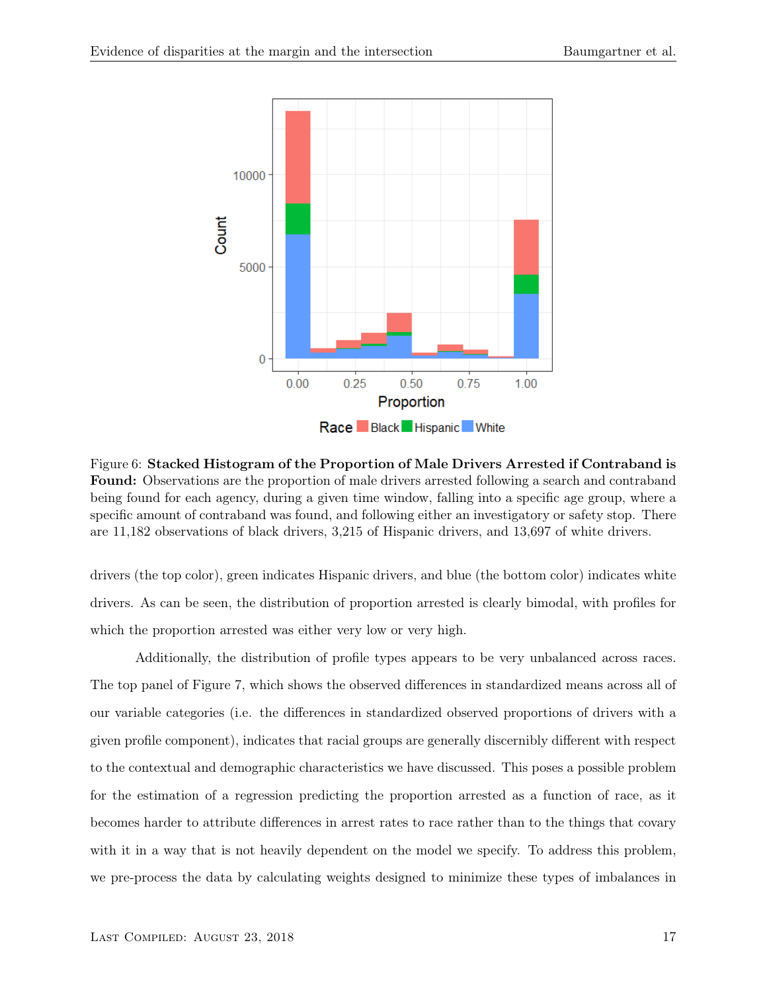<span id="page-16-0"></span>

Figure 6: Stacked Histogram of the Proportion of Male Drivers Arrested if Contraband is Found: Observations are the proportion of male drivers arrested following a search and contraband being found for each agency, during a given time window, falling into a specific age group, where a specific amount of contraband was found, and following either an investigatory or safety stop. There are 11,182 observations of black drivers, 3,215 of Hispanic drivers, and 13,697 of white drivers.

drivers (the top color), green indicates Hispanic drivers, and blue (the bottom color) indicates white drivers. As can be seen, the distribution of proportion arrested is clearly bimodal, with profiles for which the proportion arrested was either very low or very high.

Additionally, the distribution of profile types appears to be very unbalanced across races. The top panel of Figure [7,](#page-17-0) which shows the observed differences in standardized means across all of our variable categories (i.e. the differences in standardized observed proportions of drivers with a given profile component), indicates that racial groups are generally discernibly different with respect to the contextual and demographic characteristics we have discussed. This poses a possible problem for the estimation of a regression predicting the proportion arrested as a function of race, as it becomes harder to attribute differences in arrest rates to race rather than to the things that covary with it in a way that is not heavily dependent on the model we specify. To address this problem, we pre-process the data by calculating weights designed to minimize these types of imbalances in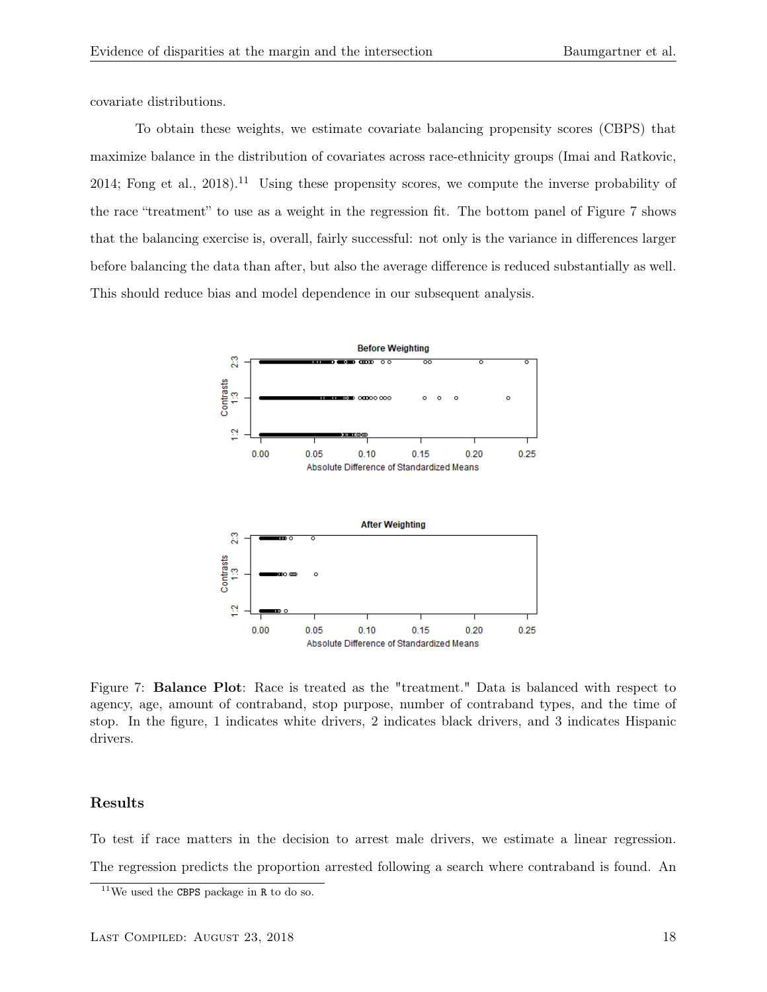covariate distributions.

To obtain these weights, we estimate covariate balancing propensity scores (CBPS) that maximize balance in the distribution of covariates across race-ethnicity groups [\(Imai and Ratkovic,](#page-23-1) [2014;](#page-23-1) [Fong et al., 2018\)](#page-23-15).<sup>[11](#page-0-0)</sup> Using these propensity scores, we compute the inverse probability of the race "treatment" to use as a weight in the regression fit. The bottom panel of Figure [7](#page-17-0) shows that the balancing exercise is, overall, fairly successful: not only is the variance in differences larger before balancing the data than after, but also the average difference is reduced substantially as well. This should reduce bias and model dependence in our subsequent analysis.

<span id="page-17-0"></span>

Figure 7: **Balance Plot**: Race is treated as the "treatment." Data is balanced with respect to agency, age, amount of contraband, stop purpose, number of contraband types, and the time of stop. In the figure, 1 indicates white drivers, 2 indicates black drivers, and 3 indicates Hispanic drivers.

### Results

To test if race matters in the decision to arrest male drivers, we estimate a linear regression. The regression predicts the proportion arrested following a search where contraband is found. An

 $11$ We used the CBPS package in R to do so.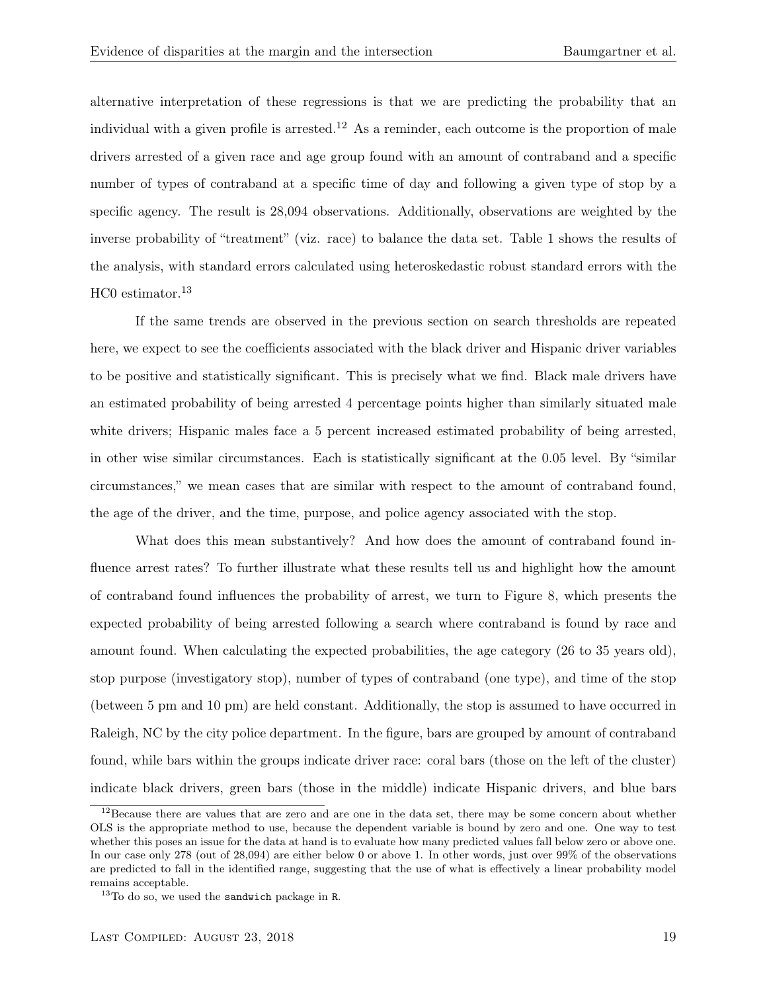alternative interpretation of these regressions is that we are predicting the probability that an individual with a given profile is arrested.<sup>[12](#page-0-0)</sup> As a reminder, each outcome is the proportion of male drivers arrested of a given race and age group found with an amount of contraband and a specific number of types of contraband at a specific time of day and following a given type of stop by a specific agency. The result is 28,094 observations. Additionally, observations are weighted by the inverse probability of "treatment" (viz. race) to balance the data set. Table [1](#page-19-0) shows the results of the analysis, with standard errors calculated using heteroskedastic robust standard errors with the HC0 estimator.<sup>[13](#page-0-0)</sup>

If the same trends are observed in the previous section on search thresholds are repeated here, we expect to see the coefficients associated with the black driver and Hispanic driver variables to be positive and statistically significant. This is precisely what we find. Black male drivers have an estimated probability of being arrested 4 percentage points higher than similarly situated male white drivers; Hispanic males face a 5 percent increased estimated probability of being arrested, in other wise similar circumstances. Each is statistically significant at the 0.05 level. By "similar circumstances," we mean cases that are similar with respect to the amount of contraband found, the age of the driver, and the time, purpose, and police agency associated with the stop.

What does this mean substantively? And how does the amount of contraband found influence arrest rates? To further illustrate what these results tell us and highlight how the amount of contraband found influences the probability of arrest, we turn to Figure [8,](#page-20-0) which presents the expected probability of being arrested following a search where contraband is found by race and amount found. When calculating the expected probabilities, the age category (26 to 35 years old), stop purpose (investigatory stop), number of types of contraband (one type), and time of the stop (between 5 pm and 10 pm) are held constant. Additionally, the stop is assumed to have occurred in Raleigh, NC by the city police department. In the figure, bars are grouped by amount of contraband found, while bars within the groups indicate driver race: coral bars (those on the left of the cluster) indicate black drivers, green bars (those in the middle) indicate Hispanic drivers, and blue bars

 $12$ Because there are values that are zero and are one in the data set, there may be some concern about whether OLS is the appropriate method to use, because the dependent variable is bound by zero and one. One way to test whether this poses an issue for the data at hand is to evaluate how many predicted values fall below zero or above one. In our case only 278 (out of 28,094) are either below 0 or above 1. In other words, just over 99% of the observations are predicted to fall in the identified range, suggesting that the use of what is effectively a linear probability model remains acceptable.

 $13$ To do so, we used the sandwich package in R.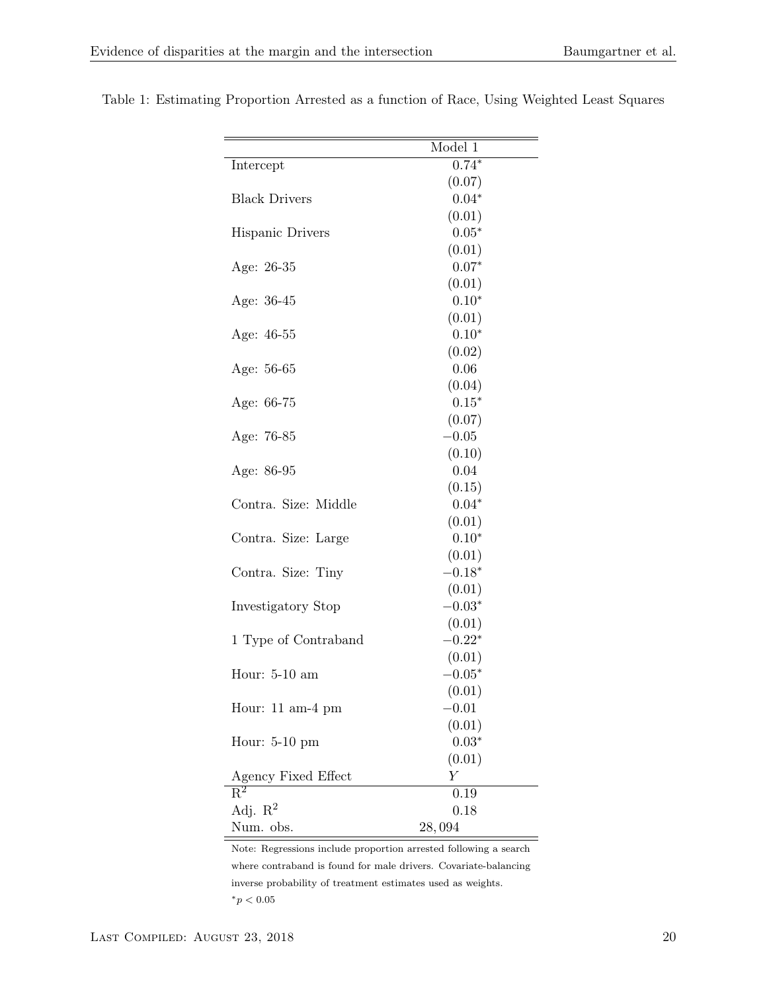|                                    | Model 1  |
|------------------------------------|----------|
| Intercept                          | $0.74*$  |
|                                    | (0.07)   |
| <b>Black Drivers</b>               | $0.04*$  |
|                                    | (0.01)   |
| Hispanic Drivers                   | $0.05*$  |
|                                    | (0.01)   |
| Age: 26-35                         | $0.07*$  |
|                                    | (0.01)   |
| Age: 36-45                         | $0.10*$  |
|                                    | (0.01)   |
| Age: 46-55                         | $0.10*$  |
|                                    | (0.02)   |
| Age: 56-65                         | 0.06     |
|                                    | (0.04)   |
| Age: 66-75                         | $0.15*$  |
|                                    | (0.07)   |
| Age: 76-85                         | $-0.05$  |
|                                    | (0.10)   |
| Age: 86-95                         | 0.04     |
|                                    | (0.15)   |
| Contra. Size: Middle               | $0.04*$  |
|                                    | (0.01)   |
| Contra. Size: Large                | $0.10*$  |
|                                    | (0.01)   |
| Contra. Size: Tiny                 | $-0.18*$ |
|                                    | (0.01)   |
| Investigatory Stop                 | $-0.03*$ |
|                                    | (0.01)   |
| 1 Type of Contraband               | $-0.22*$ |
|                                    | (0.01)   |
| Hour: $5-10$ am                    | $-0.05*$ |
|                                    | (0.01)   |
| Hour: $11 \text{ am-}4 \text{ pm}$ | $-0.01$  |
|                                    | (0.01)   |
| Hour: $5-10$ pm                    | $0.03*$  |
|                                    | (0.01)   |
| Agency Fixed Effect                | Y        |
| $\overline{\mathrm{R}^2}$          | 0.19     |
| Adj. $\mathbb{R}^2$                | 0.18     |
| Num. obs.                          | 28,094   |

<span id="page-19-0"></span>Table 1: Estimating Proportion Arrested as a function of Race, Using Weighted Least Squares

Note: Regressions include proportion arrested following a search where contraband is found for male drivers. Covariate-balancing inverse probability of treatment estimates used as weights.  $*_p$  < 0.05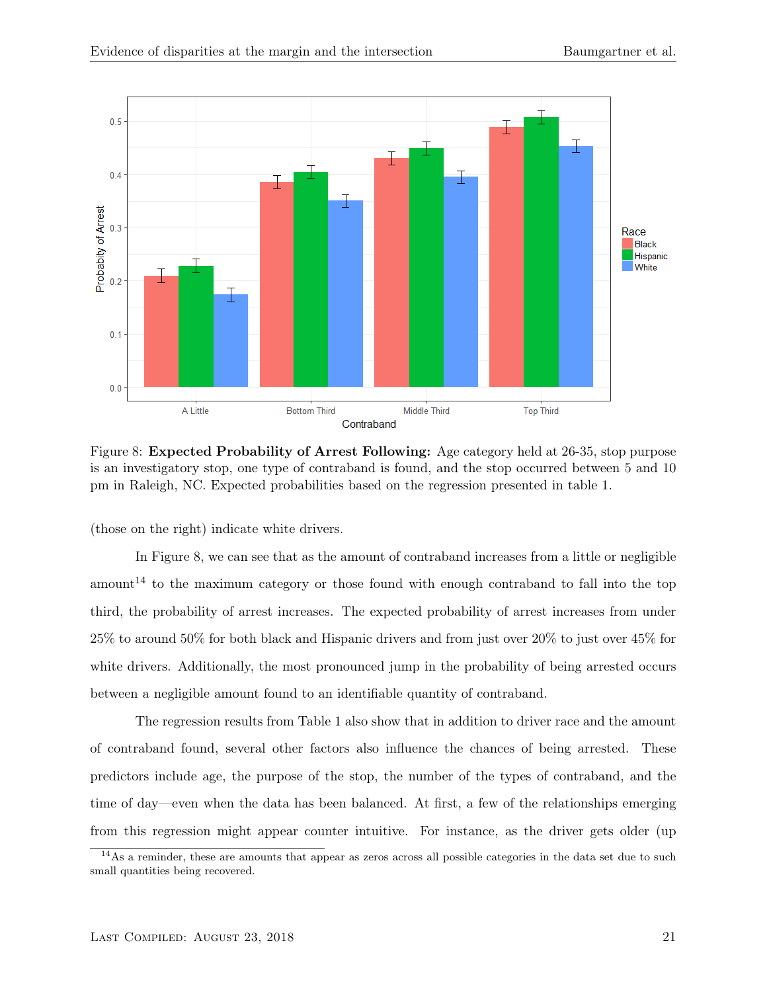<span id="page-20-0"></span>

Figure 8: Expected Probability of Arrest Following: Age category held at 26-35, stop purpose is an investigatory stop, one type of contraband is found, and the stop occurred between 5 and 10 pm in Raleigh, NC. Expected probabilities based on the regression presented in table 1.

(those on the right) indicate white drivers.

In Figure [8,](#page-20-0) we can see that as the amount of contraband increases from a little or negligible amount<sup>[14](#page-0-0)</sup> to the maximum category or those found with enough contraband to fall into the top third, the probability of arrest increases. The expected probability of arrest increases from under 25% to around 50% for both black and Hispanic drivers and from just over 20% to just over 45% for white drivers. Additionally, the most pronounced jump in the probability of being arrested occurs between a negligible amount found to an identifiable quantity of contraband.

The regression results from Table [1](#page-19-0) also show that in addition to driver race and the amount of contraband found, several other factors also influence the chances of being arrested. These predictors include age, the purpose of the stop, the number of the types of contraband, and the time of day—even when the data has been balanced. At first, a few of the relationships emerging from this regression might appear counter intuitive. For instance, as the driver gets older (up

 $14$ As a reminder, these are amounts that appear as zeros across all possible categories in the data set due to such small quantities being recovered.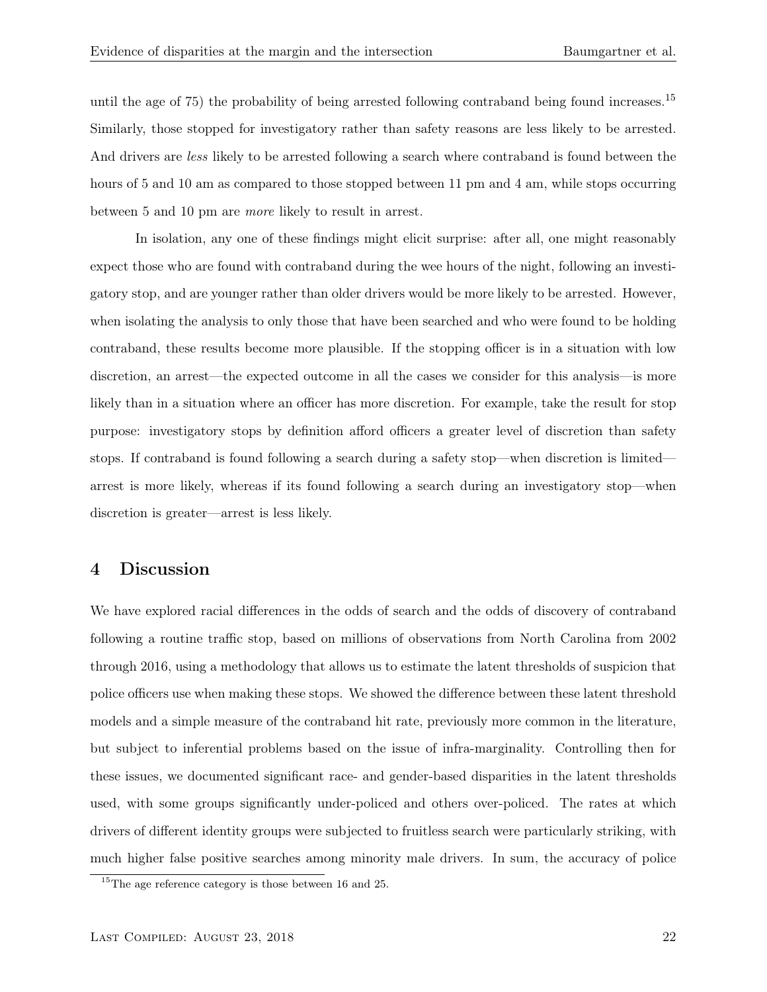until the age of 75) the probability of being arrested following contraband being found increases.<sup>[15](#page-0-0)</sup> Similarly, those stopped for investigatory rather than safety reasons are less likely to be arrested. And drivers are *less* likely to be arrested following a search where contraband is found between the hours of 5 and 10 am as compared to those stopped between 11 pm and 4 am, while stops occurring between 5 and 10 pm are more likely to result in arrest.

In isolation, any one of these findings might elicit surprise: after all, one might reasonably expect those who are found with contraband during the wee hours of the night, following an investigatory stop, and are younger rather than older drivers would be more likely to be arrested. However, when isolating the analysis to only those that have been searched and who were found to be holding contraband, these results become more plausible. If the stopping officer is in a situation with low discretion, an arrest—the expected outcome in all the cases we consider for this analysis—is more likely than in a situation where an officer has more discretion. For example, take the result for stop purpose: investigatory stops by definition afford officers a greater level of discretion than safety stops. If contraband is found following a search during a safety stop—when discretion is limited arrest is more likely, whereas if its found following a search during an investigatory stop—when discretion is greater—arrest is less likely.

## 4 Discussion

We have explored racial differences in the odds of search and the odds of discovery of contraband following a routine traffic stop, based on millions of observations from North Carolina from 2002 through 2016, using a methodology that allows us to estimate the latent thresholds of suspicion that police officers use when making these stops. We showed the difference between these latent threshold models and a simple measure of the contraband hit rate, previously more common in the literature, but subject to inferential problems based on the issue of infra-marginality. Controlling then for these issues, we documented significant race- and gender-based disparities in the latent thresholds used, with some groups significantly under-policed and others over-policed. The rates at which drivers of different identity groups were subjected to fruitless search were particularly striking, with much higher false positive searches among minority male drivers. In sum, the accuracy of police

<sup>&</sup>lt;sup>15</sup>The age reference category is those between 16 and 25.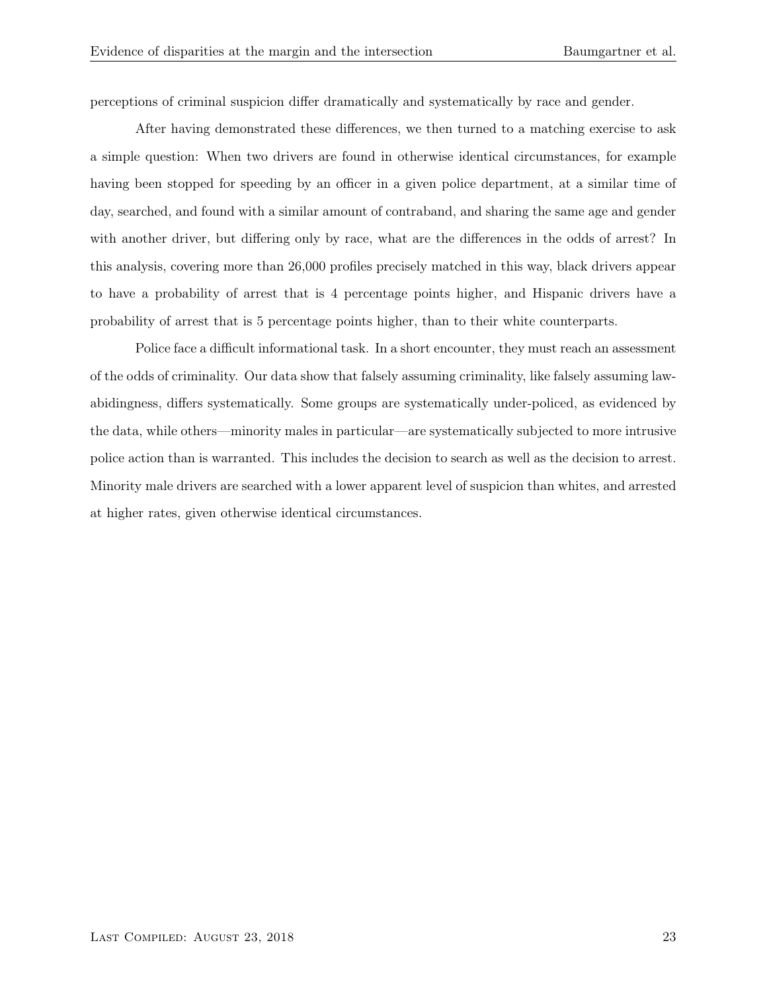perceptions of criminal suspicion differ dramatically and systematically by race and gender.

After having demonstrated these differences, we then turned to a matching exercise to ask a simple question: When two drivers are found in otherwise identical circumstances, for example having been stopped for speeding by an officer in a given police department, at a similar time of day, searched, and found with a similar amount of contraband, and sharing the same age and gender with another driver, but differing only by race, what are the differences in the odds of arrest? In this analysis, covering more than 26,000 profiles precisely matched in this way, black drivers appear to have a probability of arrest that is 4 percentage points higher, and Hispanic drivers have a probability of arrest that is 5 percentage points higher, than to their white counterparts.

Police face a difficult informational task. In a short encounter, they must reach an assessment of the odds of criminality. Our data show that falsely assuming criminality, like falsely assuming lawabidingness, differs systematically. Some groups are systematically under-policed, as evidenced by the data, while others—minority males in particular—are systematically subjected to more intrusive police action than is warranted. This includes the decision to search as well as the decision to arrest. Minority male drivers are searched with a lower apparent level of suspicion than whites, and arrested at higher rates, given otherwise identical circumstances.